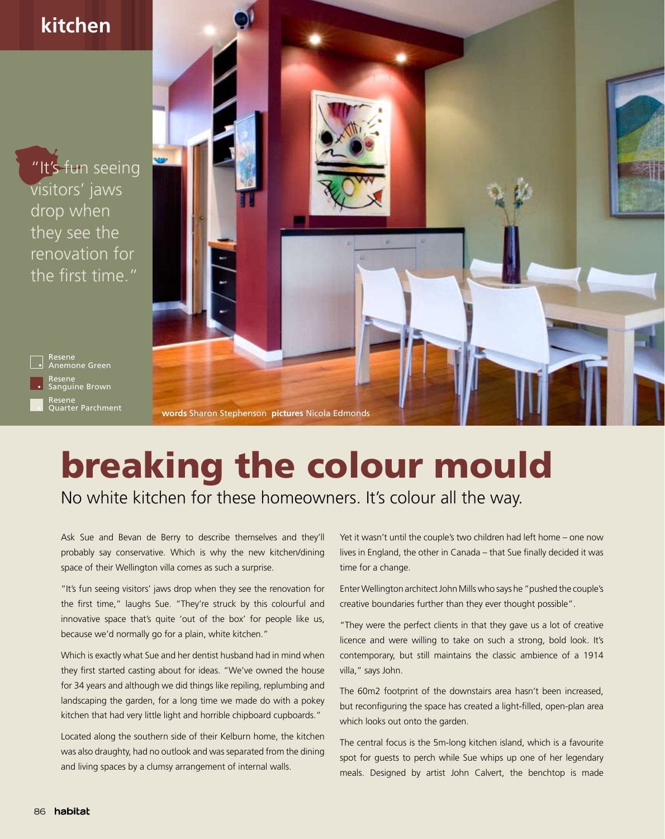

## breaking the colour mould

No white kitchen for these homeowners. It's colour all the way.

Ask Sue and Bevan de Berry to describe themselves and they'll probably say conservative. Which is why the new kitchen/dining space of their Wellington villa comes as such a surprise.

"It's fun seeing visitors' jaws drop when they see the renovation for the first time," laughs Sue. "They're struck by this colourful and innovative space that's quite 'out of the box' for people like us, because we'd normally go for a plain, white kitchen."

Which is exactly what Sue and her dentist husband had in mind when they first started casting about for ideas. "We've owned the house for 34 years and although we did things like repiling, replumbing and landscaping the garden, for a long time we made do with a pokey kitchen that had very little light and horrible chipboard cupboards."

Located along the southern side of their Kelburn home, the kitchen was also draughty, had no outlook and was separated from the dining and living spaces by a clumsy arrangement of internal walls.

Yet it wasn't until the couple's two children had left home – one now lives in England, the other in Canada – that Sue finally decided it was time for a change.

Enter Wellington architect John Mills who says he "pushed the couple's creative boundaries further than they ever thought possible".

"They were the perfect clients in that they gave us a lot of creative licence and were willing to take on such a strong, bold look. It's contemporary, but still maintains the classic ambience of a 1914 villa," says John.

The 60m2 footprint of the downstairs area hasn't been increased, but reconfiguring the space has created a light-filled, open-plan area which looks out onto the garden.

The central focus is the 5m-long kitchen island, which is a favourite spot for guests to perch while Sue whips up one of her legendary meals. Designed by artist John Calvert, the benchtop is made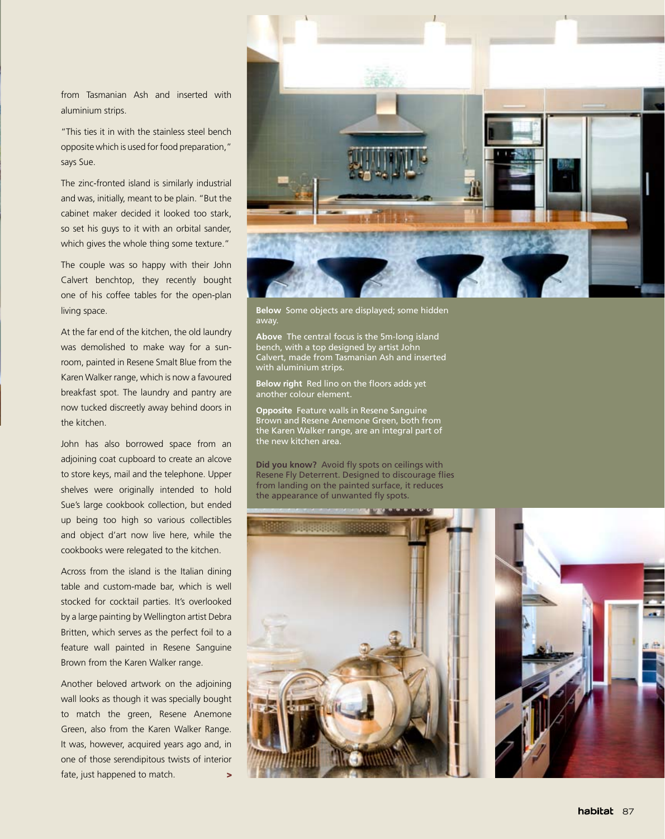from Tasmanian Ash and inserted with aluminium strips.

"This ties it in with the stainless steel bench opposite which is used for food preparation," says Sue.

The zinc-fronted island is similarly industrial and was, initially, meant to be plain. "But the cabinet maker decided it looked too stark, so set his guys to it with an orbital sander, which gives the whole thing some texture."

The couple was so happy with their John Calvert benchtop, they recently bought one of his coffee tables for the open-plan living space.

At the far end of the kitchen, the old laundry was demolished to make way for a sunroom, painted in Resene Smalt Blue from the Karen Walker range, which is now a favoured breakfast spot. The laundry and pantry are now tucked discreetly away behind doors in the kitchen.

John has also borrowed space from an adjoining coat cupboard to create an alcove to store keys, mail and the telephone. Upper shelves were originally intended to hold Sue's large cookbook collection, but ended up being too high so various collectibles and object d'art now live here, while the cookbooks were relegated to the kitchen.

Across from the island is the Italian dining table and custom-made bar, which is well stocked for cocktail parties. It's overlooked by a large painting by Wellington artist Debra Britten, which serves as the perfect foil to a feature wall painted in Resene Sanguine Brown from the Karen Walker range.

Another beloved artwork on the adjoining wall looks as though it was specially bought to match the green, Resene Anemone Green, also from the Karen Walker Range. It was, however, acquired years ago and, in one of those serendipitous twists of interior fate, just happened to match. >



**Below** Some objects are displayed; some hidden away.

**Above** The central focus is the 5m-long island bench, with a top designed by artist John Calvert, made from Tasmanian Ash and inserted with aluminium strips.

**Below right** Red lino on the floors adds yet another colour element.

**Opposite** Feature walls in Resene Sanguine Brown and Resene Anemone Green, both from the Karen Walker range, are an integral part of the new kitchen area.

**Did you know?** Avoid fly spots on ceilings with Resene Fly Deterrent. Designed to discourage flies from landing on the painted surface, it reduces the appearance of unwanted fly spots.